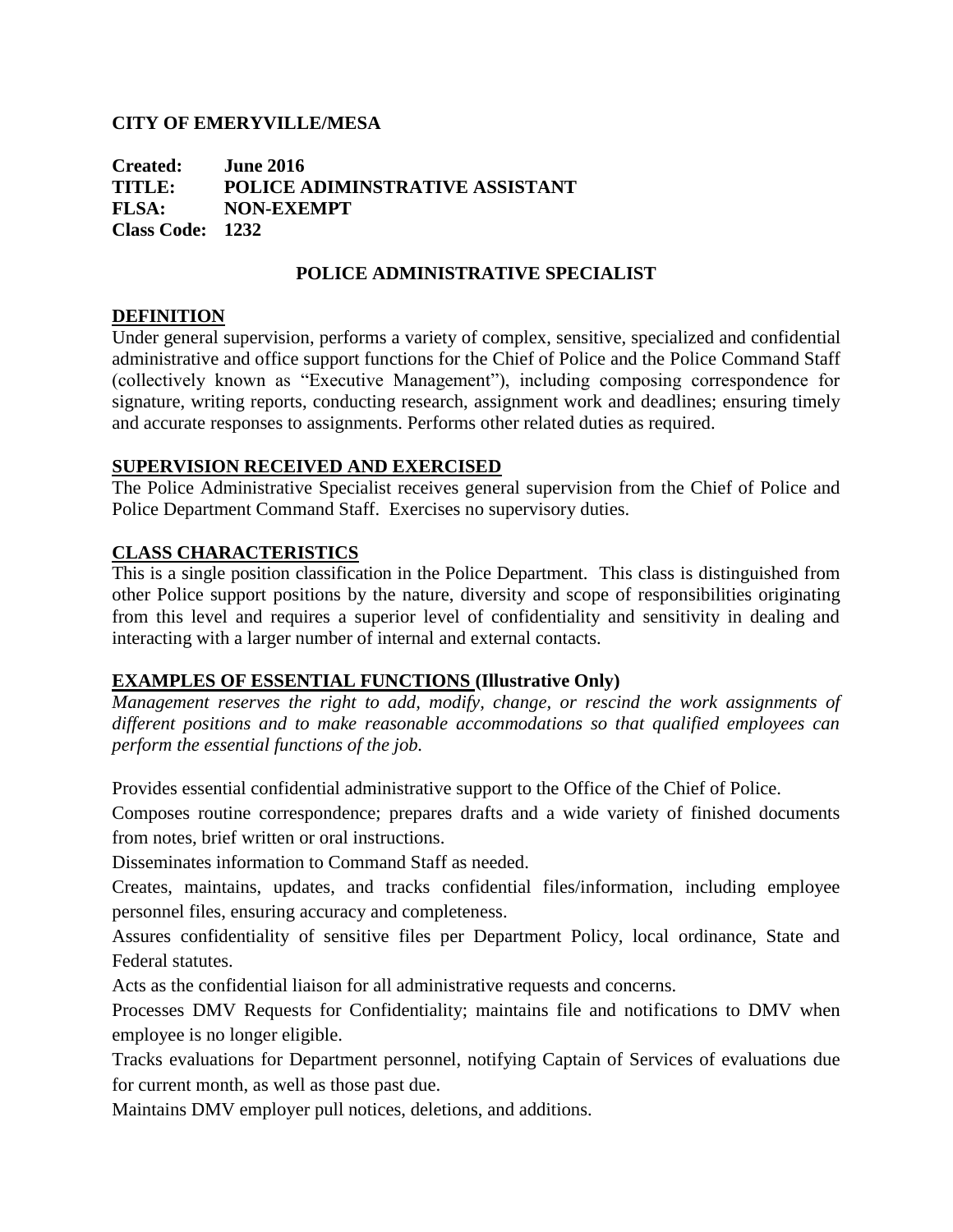# **CITY OF EMERYVILLE/MESA**

**Created: June 2016 TITLE: POLICE ADIMINSTRATIVE ASSISTANT FLSA: NON-EXEMPT Class Code: 1232**

# **POLICE ADMINISTRATIVE SPECIALIST**

# **DEFINITION**

Under general supervision, performs a variety of complex, sensitive, specialized and confidential administrative and office support functions for the Chief of Police and the Police Command Staff (collectively known as "Executive Management"), including composing correspondence for signature, writing reports, conducting research, assignment work and deadlines; ensuring timely and accurate responses to assignments. Performs other related duties as required.

# **SUPERVISION RECEIVED AND EXERCISED**

The Police Administrative Specialist receives general supervision from the Chief of Police and Police Department Command Staff. Exercises no supervisory duties.

# **CLASS CHARACTERISTICS**

This is a single position classification in the Police Department. This class is distinguished from other Police support positions by the nature, diversity and scope of responsibilities originating from this level and requires a superior level of confidentiality and sensitivity in dealing and interacting with a larger number of internal and external contacts.

#### **EXAMPLES OF ESSENTIAL FUNCTIONS (Illustrative Only)**

*Management reserves the right to add, modify, change, or rescind the work assignments of different positions and to make reasonable accommodations so that qualified employees can perform the essential functions of the job.*

Provides essential confidential administrative support to the Office of the Chief of Police.

Composes routine correspondence; prepares drafts and a wide variety of finished documents from notes, brief written or oral instructions.

Disseminates information to Command Staff as needed.

Creates, maintains, updates, and tracks confidential files/information, including employee personnel files, ensuring accuracy and completeness.

Assures confidentiality of sensitive files per Department Policy, local ordinance, State and Federal statutes.

Acts as the confidential liaison for all administrative requests and concerns.

Processes DMV Requests for Confidentiality; maintains file and notifications to DMV when employee is no longer eligible.

Tracks evaluations for Department personnel, notifying Captain of Services of evaluations due for current month, as well as those past due.

Maintains DMV employer pull notices, deletions, and additions.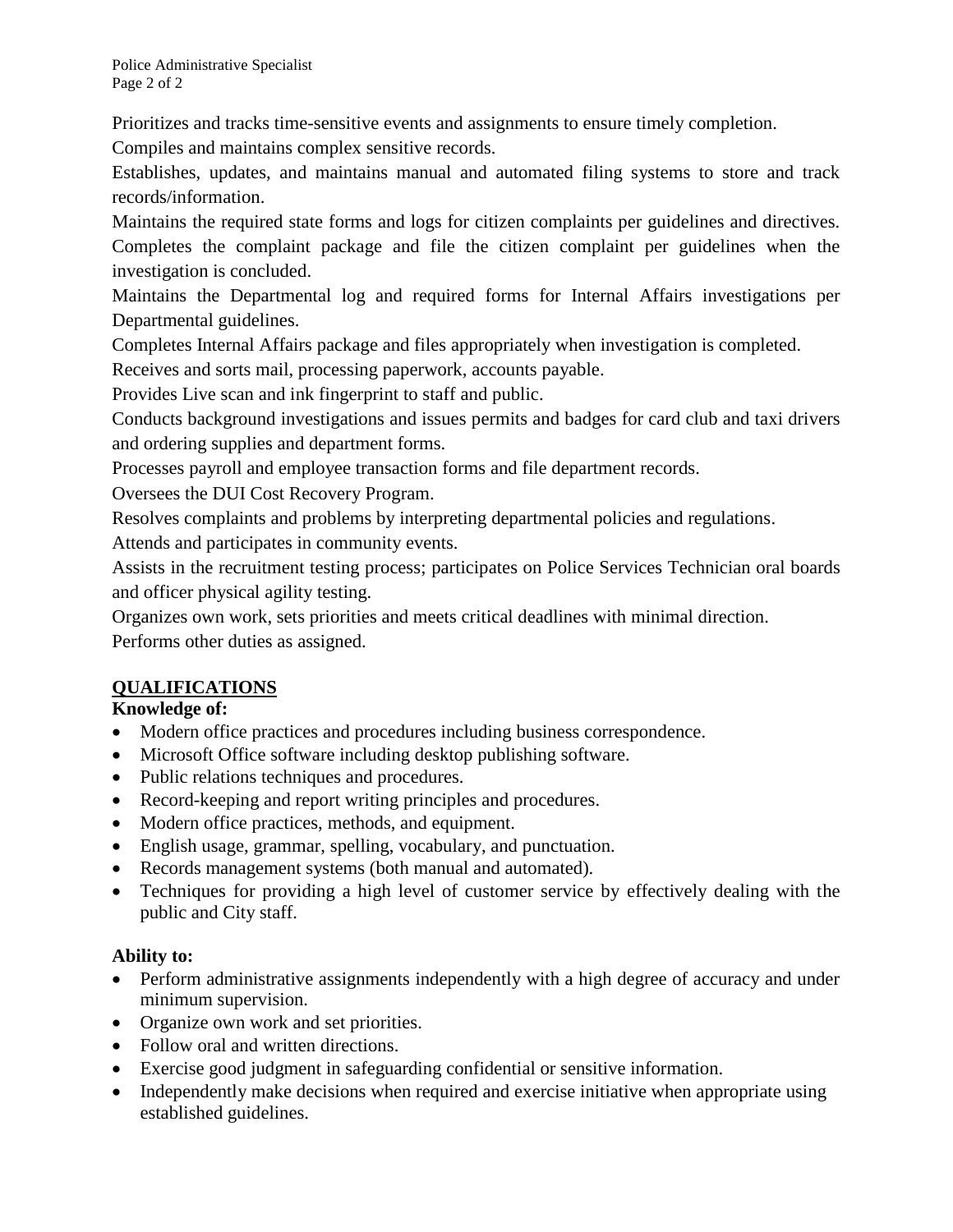Prioritizes and tracks time-sensitive events and assignments to ensure timely completion.

Compiles and maintains complex sensitive records.

Establishes, updates, and maintains manual and automated filing systems to store and track records/information.

Maintains the required state forms and logs for citizen complaints per guidelines and directives. Completes the complaint package and file the citizen complaint per guidelines when the investigation is concluded.

Maintains the Departmental log and required forms for Internal Affairs investigations per Departmental guidelines.

Completes Internal Affairs package and files appropriately when investigation is completed.

Receives and sorts mail, processing paperwork, accounts payable.

Provides Live scan and ink fingerprint to staff and public.

Conducts background investigations and issues permits and badges for card club and taxi drivers and ordering supplies and department forms.

Processes payroll and employee transaction forms and file department records.

Oversees the DUI Cost Recovery Program.

Resolves complaints and problems by interpreting departmental policies and regulations.

Attends and participates in community events.

Assists in the recruitment testing process; participates on Police Services Technician oral boards and officer physical agility testing.

Organizes own work, sets priorities and meets critical deadlines with minimal direction. Performs other duties as assigned.

# **QUALIFICATIONS**

# **Knowledge of:**

- Modern office practices and procedures including business correspondence.
- Microsoft Office software including desktop publishing software.
- Public relations techniques and procedures.
- Record-keeping and report writing principles and procedures.
- Modern office practices, methods, and equipment.
- English usage, grammar, spelling, vocabulary, and punctuation.
- Records management systems (both manual and automated).
- Techniques for providing a high level of customer service by effectively dealing with the public and City staff.

# **Ability to:**

- Perform administrative assignments independently with a high degree of accuracy and under minimum supervision.
- Organize own work and set priorities.
- Follow oral and written directions.
- Exercise good judgment in safeguarding confidential or sensitive information.
- Independently make decisions when required and exercise initiative when appropriate using established guidelines.